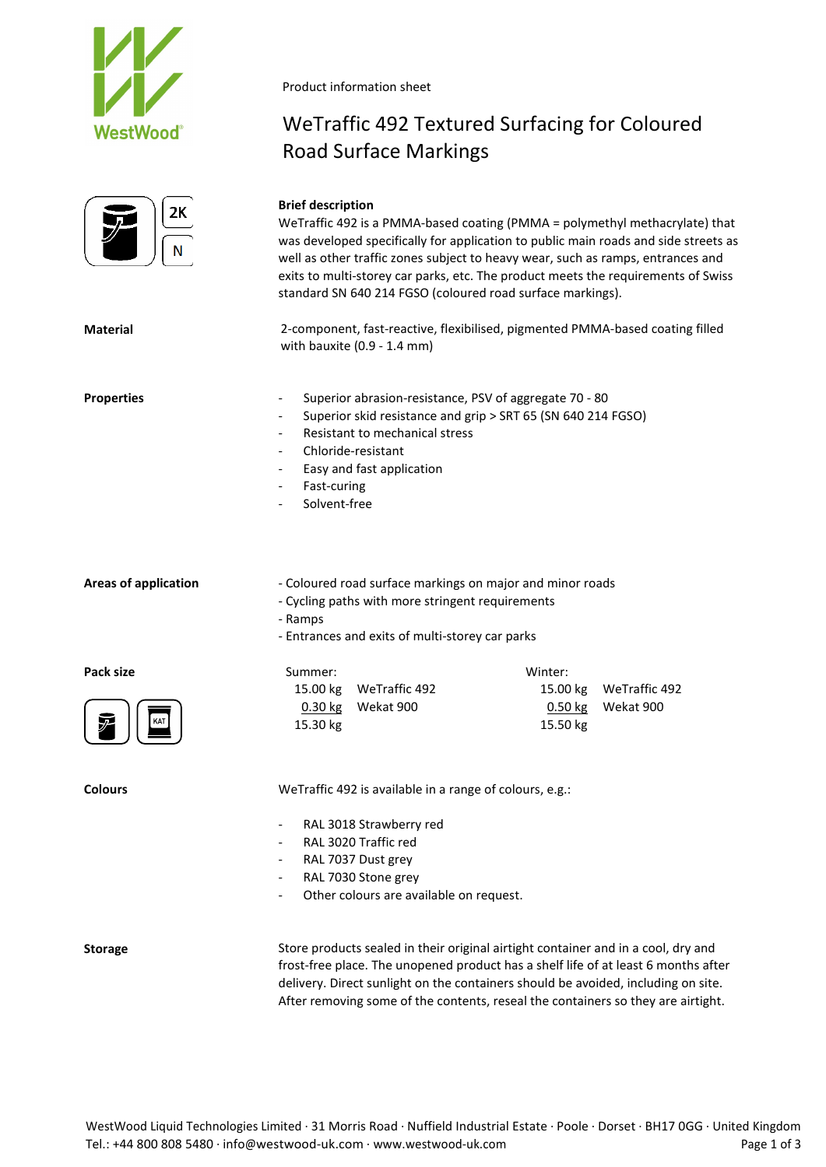



Product information sheet

**Brief description**

# WeTraffic 492 Textured Surfacing for Coloured Road Surface Markings

|                             | WeTraffic 492 is a PMMA-based coating (PMMA = polymethyl methacrylate) that<br>was developed specifically for application to public main roads and side streets as<br>well as other traffic zones subject to heavy wear, such as ramps, entrances and<br>exits to multi-storey car parks, etc. The product meets the requirements of Swiss<br>standard SN 640 214 FGSO (coloured road surface markings). |                                                                            |  |  |  |  |
|-----------------------------|----------------------------------------------------------------------------------------------------------------------------------------------------------------------------------------------------------------------------------------------------------------------------------------------------------------------------------------------------------------------------------------------------------|----------------------------------------------------------------------------|--|--|--|--|
| <b>Material</b>             | 2-component, fast-reactive, flexibilised, pigmented PMMA-based coating filled<br>with bauxite (0.9 - 1.4 mm)                                                                                                                                                                                                                                                                                             |                                                                            |  |  |  |  |
| <b>Properties</b>           | Superior abrasion-resistance, PSV of aggregate 70 - 80<br>Superior skid resistance and grip > SRT 65 (SN 640 214 FGSO)<br>Resistant to mechanical stress<br>Chloride-resistant<br>Easy and fast application<br>Fast-curing<br>Solvent-free                                                                                                                                                               |                                                                            |  |  |  |  |
| <b>Areas of application</b> | - Coloured road surface markings on major and minor roads<br>- Cycling paths with more stringent requirements<br>- Ramps<br>- Entrances and exits of multi-storey car parks                                                                                                                                                                                                                              |                                                                            |  |  |  |  |
| Pack size                   | Summer:<br>15.00 kg<br>WeTraffic 492<br>$0.30$ kg<br>Wekat 900<br>15.30 kg                                                                                                                                                                                                                                                                                                                               | Winter:<br>WeTraffic 492<br>15.00 kg<br>$0.50$ kg<br>Wekat 900<br>15.50 kg |  |  |  |  |
| <b>Colours</b>              | WeTraffic 492 is available in a range of colours, e.g.:<br>RAL 3018 Strawberry red<br>RAL 3020 Traffic red<br>$\qquad \qquad \blacksquare$<br>RAL 7037 Dust grey<br>$\overline{\phantom{a}}$<br>RAL 7030 Stone grey<br>$\overline{\phantom{m}}$<br>Other colours are available on request.                                                                                                               |                                                                            |  |  |  |  |

**Storage** Store products sealed in their original airtight container and in a cool, dry and frost-free place. The unopened product has a shelf life of at least 6 months after delivery. Direct sunlight on the containers should be avoided, including on site. After removing some of the contents, reseal the containers so they are airtight.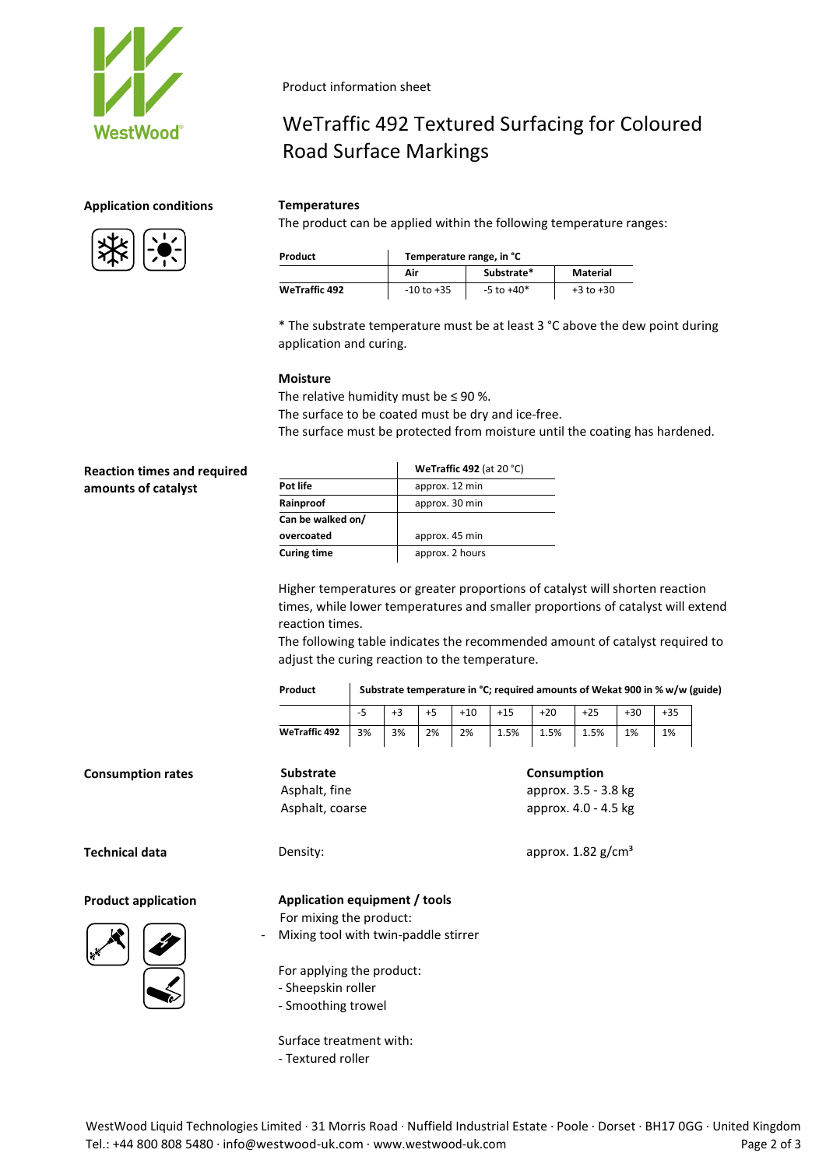

# **Application conditions Temperatures**



Product information sheet

# WeTraffic 492 Textured Surfacing for Coloured Road Surface Markings

The product can be applied within the following temperature ranges:

| Product              | Temperature range, in °C |                |               |  |  |  |
|----------------------|--------------------------|----------------|---------------|--|--|--|
|                      | Air                      | Substrate*     | Material      |  |  |  |
| <b>WeTraffic 492</b> | $-10$ to $+35$           | $-5$ to $+40*$ | $+3$ to $+30$ |  |  |  |

\* The substrate temperature must be at least 3 °C above the dew point during application and curing.

### **Moisture**

The relative humidity must be  $\leq$  90 %. The surface to be coated must be dry and ice-free. The surface must be protected from moisture until the coating has hardened.

| <b>Reaction times and required</b> |                    | WeTraffic 492 (at 20 $°C$ )      |  |  |  |
|------------------------------------|--------------------|----------------------------------|--|--|--|
| amounts of catalyst                | Pot life           | approx. 12 min<br>approx. 30 min |  |  |  |
|                                    | Rainproof          |                                  |  |  |  |
|                                    | Can be walked on/  |                                  |  |  |  |
|                                    | overcoated         | approx. 45 min                   |  |  |  |
|                                    | <b>Curing time</b> | approx. 2 hours                  |  |  |  |
|                                    |                    |                                  |  |  |  |

Higher temperatures or greater proportions of catalyst will shorten reaction times, while lower temperatures and smaller proportions of catalyst will extend reaction times.

The following table indicates the recommended amount of catalyst required to adjust the curing reaction to the temperature.

| Product | Substrate temperature in °C; required amounts of Wekat 900 in % w/w (guide) |
|---------|-----------------------------------------------------------------------------|
|---------|-----------------------------------------------------------------------------|

|                            |                                      | $-5$ | $+3$ | $+5$ | $+10$ | $+15$       | $+20$                | $+25$                            | $+30$ | $+35$ |  |
|----------------------------|--------------------------------------|------|------|------|-------|-------------|----------------------|----------------------------------|-------|-------|--|
|                            | <b>WeTraffic 492</b>                 | 3%   | 3%   | 2%   | 2%    | 1.5%        | 1.5%                 | 1.5%                             | 1%    | 1%    |  |
| <b>Consumption rates</b>   | <b>Substrate</b>                     |      |      |      |       | Consumption |                      |                                  |       |       |  |
|                            | Asphalt, fine                        |      |      |      |       |             | approx. 3.5 - 3.8 kg |                                  |       |       |  |
|                            | Asphalt, coarse                      |      |      |      |       |             | approx. 4.0 - 4.5 kg |                                  |       |       |  |
| <b>Technical data</b>      | Density:                             |      |      |      |       |             |                      | approx. $1.82$ g/cm <sup>3</sup> |       |       |  |
| <b>Product application</b> | Application equipment / tools        |      |      |      |       |             |                      |                                  |       |       |  |
|                            | For mixing the product:              |      |      |      |       |             |                      |                                  |       |       |  |
|                            | Mixing tool with twin-paddle stirrer |      |      |      |       |             |                      |                                  |       |       |  |
|                            | For applying the product:            |      |      |      |       |             |                      |                                  |       |       |  |
|                            | - Sheepskin roller                   |      |      |      |       |             |                      |                                  |       |       |  |
|                            | - Smoothing trowel                   |      |      |      |       |             |                      |                                  |       |       |  |
|                            |                                      |      |      |      |       |             |                      |                                  |       |       |  |

Surface treatment with:

- Textured roller

WestWood Liquid Technologies Limited · 31 Morris Road · Nuffield Industrial Estate · Poole · Dorset · BH17 0GG · United Kingdom Tel.: +44 800 808 5480 · info@westwood-uk.com · www.westwood-uk.com **Page 2 of 3** Page 2 of 3